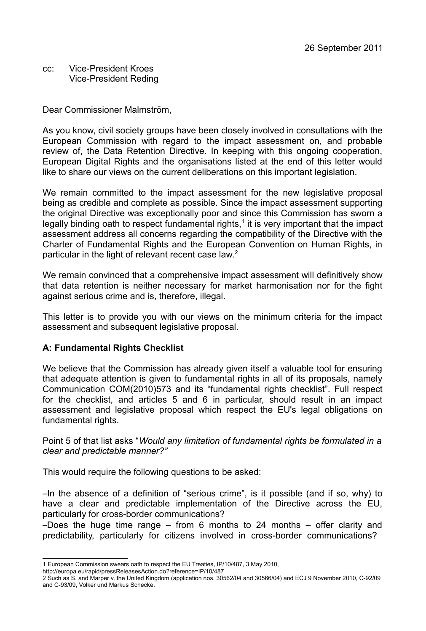cc: Vice-President Kroes Vice-President Reding

Dear Commissioner Malmström,

As you know, civil society groups have been closely involved in consultations with the European Commission with regard to the impact assessment on, and probable review of, the Data Retention Directive. In keeping with this ongoing cooperation, European Digital Rights and the organisations listed at the end of this letter would like to share our views on the current deliberations on this important legislation.

We remain committed to the impact assessment for the new legislative proposal being as credible and complete as possible. Since the impact assessment supporting the original Directive was exceptionally poor and since this Commission has sworn a legally binding oath to respect fundamental rights, $1$  it is very important that the impact assessment address all concerns regarding the compatibility of the Directive with the Charter of Fundamental Rights and the European Convention on Human Rights, in particular in the light of relevant recent case law.<sup>[2](#page-0-1)</sup>

We remain convinced that a comprehensive impact assessment will definitively show that data retention is neither necessary for market harmonisation nor for the fight against serious crime and is, therefore, illegal.

This letter is to provide you with our views on the minimum criteria for the impact assessment and subsequent legislative proposal.

# **A: Fundamental Rights Checklist**

We believe that the Commission has already given itself a valuable tool for ensuring that adequate attention is given to fundamental rights in all of its proposals, namely Communication COM(2010)573 and its "fundamental rights checklist". Full respect for the checklist, and articles 5 and 6 in particular, should result in an impact assessment and legislative proposal which respect the EU's legal obligations on fundamental rights.

Point 5 of that list asks "*Would any limitation of fundamental rights be formulated in a clear and predictable manner?"*

This would require the following questions to be asked:

–In the absence of a definition of "serious crime", is it possible (and if so, why) to have a clear and predictable implementation of the Directive across the EU, particularly for cross-border communications?

–Does the huge time range – from 6 months to 24 months – offer clarity and predictability, particularly for citizens involved in cross-border communications?

<span id="page-0-0"></span><sup>1</sup> European Commission swears oath to respect the EU Treaties, IP/10/487, 3 May 2010,

http://europa.eu/rapid/pressReleasesAction.do?reference=IP/10/487

<span id="page-0-1"></span><sup>2</sup> Such as S. and Marper v. the United Kingdom (application nos. 30562/04 and 30566/04) and ECJ 9 November 2010, C-92/09 and C-93/09, Volker und Markus Schecke.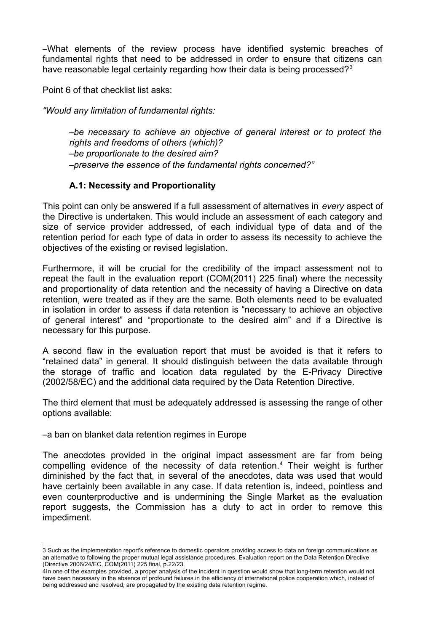–What elements of the review process have identified systemic breaches of fundamental rights that need to be addressed in order to ensure that citizens can have reasonable legal certainty regarding how their data is being processed?<sup>[3](#page-1-0)</sup>

Point 6 of that checklist list asks:

*"Would any limitation of fundamental rights:*

–*be necessary to achieve an objective of general interest or to protect the rights and freedoms of others (which)?* –*be proportionate to the desired aim?* –*preserve the essence of the fundamental rights concerned?"*

### **A.1: Necessity and Proportionality**

This point can only be answered if a full assessment of alternatives in *every* aspect of the Directive is undertaken. This would include an assessment of each category and size of service provider addressed, of each individual type of data and of the retention period for each type of data in order to assess its necessity to achieve the objectives of the existing or revised legislation.

Furthermore, it will be crucial for the credibility of the impact assessment not to repeat the fault in the evaluation report (COM(2011) 225 final) where the necessity and proportionality of data retention and the necessity of having a Directive on data retention, were treated as if they are the same. Both elements need to be evaluated in isolation in order to assess if data retention is "necessary to achieve an objective of general interest" and "proportionate to the desired aim" and if a Directive is necessary for this purpose.

A second flaw in the evaluation report that must be avoided is that it refers to "retained data" in general. It should distinguish between the data available through the storage of traffic and location data regulated by the E-Privacy Directive (2002/58/EC) and the additional data required by the Data Retention Directive.

The third element that must be adequately addressed is assessing the range of other options available:

–a ban on blanket data retention regimes in Europe

The anecdotes provided in the original impact assessment are far from being compelling evidence of the necessity of data retention.<sup>[4](#page-1-1)</sup> Their weight is further diminished by the fact that, in several of the anecdotes, data was used that would have certainly been available in any case. If data retention is, indeed, pointless and even counterproductive and is undermining the Single Market as the evaluation report suggests, the Commission has a duty to act in order to remove this impediment.

<span id="page-1-0"></span><sup>3</sup> Such as the implementation report's reference to domestic operators providing access to data on foreign communications as an alternative to following the proper mutual legal assistance procedures. Evaluation report on the Data Retention Directive (Directive 2006/24/EC, COM(2011) 225 final, p.22/23.

<span id="page-1-1"></span><sup>4</sup>In one of the examples provided, a proper analysis of the incident in question would show that long-term retention would not have been necessary in the absence of profound failures in the efficiency of international police cooperation which, instead of being addressed and resolved, are propagated by the existing data retention regime.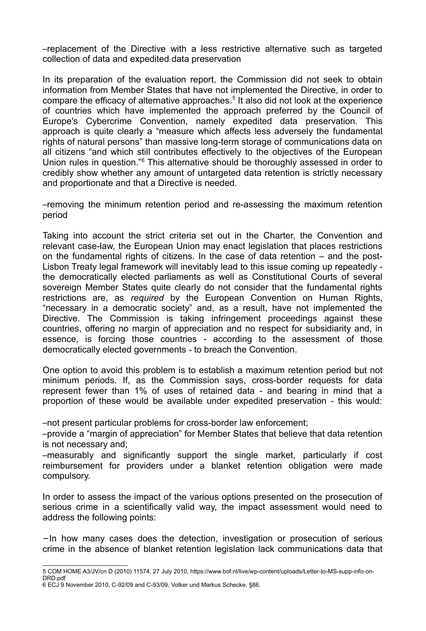–replacement of the Directive with a less restrictive alternative such as targeted collection of data and expedited data preservation

In its preparation of the evaluation report, the Commission did not seek to obtain information from Member States that have not implemented the Directive, in order to compare the efficacy of alternative approaches.<sup>[5](#page-2-0)</sup> It also did not look at the experience of countries which have implemented the approach preferred by the Council of Europe's Cybercrime Convention, namely expedited data preservation. This approach is quite clearly a "measure which affects less adversely the fundamental rights of natural persons" than massive long-term storage of communications data on all citizens "and which still contributes effectively to the objectives of the European Union rules in question."<sup>[6](#page-2-1)</sup> This alternative should be thoroughly assessed in order to credibly show whether any amount of untargeted data retention is strictly necessary and proportionate and that a Directive is needed.

–removing the minimum retention period and re-assessing the maximum retention period

Taking into account the strict criteria set out in the Charter, the Convention and relevant case-law, the European Union may enact legislation that places restrictions on the fundamental rights of citizens. In the case of data retention – and the post-Lisbon Treaty legal framework will inevitably lead to this issue coming up repeatedly the democratically elected parliaments as well as Constitutional Courts of several sovereign Member States quite clearly do not consider that the fundamental rights restrictions are, as *required* by the European Convention on Human Rights, "necessary in a democratic society" and, as a result, have not implemented the Directive. The Commission is taking infringement proceedings against these countries, offering no margin of appreciation and no respect for subsidiarity and, in essence, is forcing those countries - according to the assessment of those democratically elected governments - to breach the Convention.

One option to avoid this problem is to establish a maximum retention period but not minimum periods. If, as the Commission says, cross-border requests for data represent fewer than 1% of uses of retained data - and bearing in mind that a proportion of these would be available under expedited preservation - this would:

–not present particular problems for cross-border law enforcement;

–provide a "margin of appreciation" for Member States that believe that data retention is not necessary and;

–measurably and significantly support the single market, particularly if cost reimbursement for providers under a blanket retention obligation were made compulsory.

In order to assess the impact of the various options presented on the prosecution of serious crime in a scientifically valid way, the impact assessment would need to address the following points:

−In how many cases does the detection, investigation or prosecution of serious crime in the absence of blanket retention legislation lack communications data that

<span id="page-2-0"></span><sup>5</sup> COM HOME A3/JV/cn D (2010) 11574, 27 July 2010, https://www.bof.nl/live/wp-content/uploads/Letter-to-MS-supp-info-on-DRD.pdf

<span id="page-2-1"></span><sup>6</sup> ECJ 9 November 2010, C-92/09 and C-93/09, Volker und Markus Schecke, §86.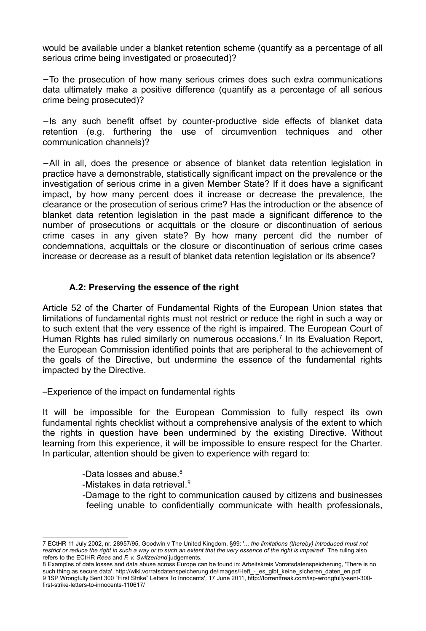would be available under a blanket retention scheme (quantify as a percentage of all serious crime being investigated or prosecuted)?

−To the prosecution of how many serious crimes does such extra communications data ultimately make a positive difference (quantify as a percentage of all serious crime being prosecuted)?

−Is any such benefit offset by counter-productive side effects of blanket data retention (e.g. furthering the use of circumvention techniques and other communication channels)?

−All in all, does the presence or absence of blanket data retention legislation in practice have a demonstrable, statistically significant impact on the prevalence or the investigation of serious crime in a given Member State? If it does have a significant impact, by how many percent does it increase or decrease the prevalence, the clearance or the prosecution of serious crime? Has the introduction or the absence of blanket data retention legislation in the past made a significant difference to the number of prosecutions or acquittals or the closure or discontinuation of serious crime cases in any given state? By how many percent did the number of condemnations, acquittals or the closure or discontinuation of serious crime cases increase or decrease as a result of blanket data retention legislation or its absence?

# **A.2: Preserving the essence of the right**

Article 52 of the Charter of Fundamental Rights of the European Union states that limitations of fundamental rights must not restrict or reduce the right in such a way or to such extent that the very essence of the right is impaired. The European Court of Human Rights has ruled similarly on numerous occasions.<sup>[7](#page-3-0)</sup> In its Evaluation Report, the European Commission identified points that are peripheral to the achievement of the goals of the Directive, but undermine the essence of the fundamental rights impacted by the Directive.

–Experience of the impact on fundamental rights

It will be impossible for the European Commission to fully respect its own fundamental rights checklist without a comprehensive analysis of the extent to which the rights in question have been undermined by the existing Directive. Without learning from this experience, it will be impossible to ensure respect for the Charter. In particular, attention should be given to experience with regard to:

- -Data losses and abuse.<sup>[8](#page-3-1)</sup>
- -Mistakes in data retrieval.<sup>[9](#page-3-2)</sup>
- -Damage to the right to communication caused by citizens and businesses feeling unable to confidentially communicate with health professionals,

<span id="page-3-0"></span><sup>7</sup> ECtHR 11 July 2002, nr. 28957/95, Goodwin v The United Kingdom, §99: '*... the limitations (thereby) introduced must not restrict or reduce the right in such a way or to such an extent that the very essence of the right is impaired*'. The ruling also refers to the ECtHR *Rees* and *F. v. Switzerland* judgements.

<span id="page-3-2"></span><span id="page-3-1"></span><sup>8</sup> Examples of data losses and data abuse across Europe can be found in: Arbeitskreis Vorratsdatenspeicherung, 'There is no such thing as secure data', http://wiki.vorratsdatenspeicherung.de/images/Heft\_-\_es\_gibt\_keine\_sicheren\_daten\_en.pdf 9 'ISP Wrongfully Sent 300 "First Strike" Letters To Innocents', 17 June 2011, http://torrentfreak.com/isp-wrongfully-sent-300 first-strike-letters-to-innocents-110617/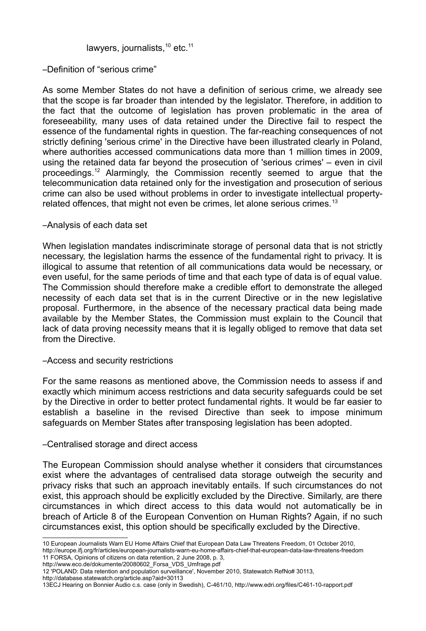### lawyers, journalists,<sup>[10](#page-4-0)</sup> etc.<sup>[11](#page-4-1)</sup>

### –Definition of "serious crime"

As some Member States do not have a definition of serious crime, we already see that the scope is far broader than intended by the legislator. Therefore, in addition to the fact that the outcome of legislation has proven problematic in the area of foreseeability, many uses of data retained under the Directive fail to respect the essence of the fundamental rights in question. The far-reaching consequences of not strictly defining 'serious crime' in the Directive have been illustrated clearly in Poland, where authorities accessed communications data more than 1 million times in 2009, using the retained data far beyond the prosecution of 'serious crimes' – even in civil proceedings.[12](#page-4-2) Alarmingly, the Commission recently seemed to argue that the telecommunication data retained only for the investigation and prosecution of serious crime can also be used without problems in order to investigate intellectual property-related offences, that might not even be crimes, let alone serious crimes.<sup>[13](#page-4-3)</sup>

### –Analysis of each data set

When legislation mandates indiscriminate storage of personal data that is not strictly necessary, the legislation harms the essence of the fundamental right to privacy. It is illogical to assume that retention of all communications data would be necessary, or even useful, for the same periods of time and that each type of data is of equal value. The Commission should therefore make a credible effort to demonstrate the alleged necessity of each data set that is in the current Directive or in the new legislative proposal. Furthermore, in the absence of the necessary practical data being made available by the Member States, the Commission must explain to the Council that lack of data proving necessity means that it is legally obliged to remove that data set from the Directive.

#### –Access and security restrictions

For the same reasons as mentioned above, the Commission needs to assess if and exactly which minimum access restrictions and data security safeguards could be set by the Directive in order to better protect fundamental rights. It would be far easier to establish a baseline in the revised Directive than seek to impose minimum safeguards on Member States after transposing legislation has been adopted.

### –Centralised storage and direct access

The European Commission should analyse whether it considers that circumstances exist where the advantages of centralised data storage outweigh the security and privacy risks that such an approach inevitably entails. If such circumstances do not exist, this approach should be explicitly excluded by the Directive. Similarly, are there circumstances in which direct access to this data would not automatically be in breach of Article 8 of the European Convention on Human Rights? Again, if no such circumstances exist, this option should be specifically excluded by the Directive.

<span id="page-4-0"></span><sup>10</sup> European Journalists Warn EU Home Affairs Chief that European Data Law Threatens Freedom, 01 October 2010, http://europe.ifj.org/fr/articles/european-journalists-warn-eu-home-affairs-chief-that-european-data-law-threatens-freedom 11 FORSA, Opinions of citizens on data retention, 2 June 2008, p. 3,

<span id="page-4-1"></span>http://www.eco.de/dokumente/20080602\_Forsa\_VDS\_Umfrage.pdf

<span id="page-4-2"></span><sup>12 &#</sup>x27;POLAND: Data retention and population surveillance', November 2010, Statewatch RefNo# 30113,

http://database.statewatch.org/article.asp?aid=30113

<span id="page-4-3"></span><sup>13</sup>ECJ Hearing on Bonnier Audio c.s. case (only in Swedish), C-461/10, http://www.edri.org/files/C461-10-rapport.pdf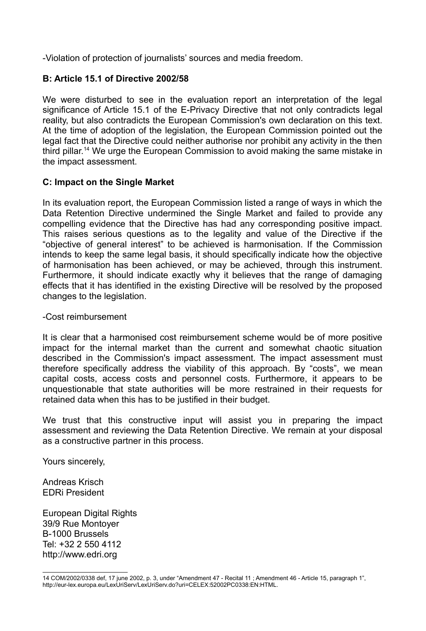-Violation of protection of journalists' sources and media freedom.

## **B: Article 15.1 of Directive 2002/58**

We were disturbed to see in the evaluation report an interpretation of the legal significance of Article 15.1 of the E-Privacy Directive that not only contradicts legal reality, but also contradicts the European Commission's own declaration on this text. At the time of adoption of the legislation, the European Commission pointed out the legal fact that the Directive could neither authorise nor prohibit any activity in the then third pillar.<sup>[14](#page-5-0)</sup> We urge the European Commission to avoid making the same mistake in the impact assessment.

### **C: Impact on the Single Market**

In its evaluation report, the European Commission listed a range of ways in which the Data Retention Directive undermined the Single Market and failed to provide any compelling evidence that the Directive has had any corresponding positive impact. This raises serious questions as to the legality and value of the Directive if the "objective of general interest" to be achieved is harmonisation. If the Commission intends to keep the same legal basis, it should specifically indicate how the objective of harmonisation has been achieved, or may be achieved, through this instrument. Furthermore, it should indicate exactly why it believes that the range of damaging effects that it has identified in the existing Directive will be resolved by the proposed changes to the legislation.

#### -Cost reimbursement

It is clear that a harmonised cost reimbursement scheme would be of more positive impact for the internal market than the current and somewhat chaotic situation described in the Commission's impact assessment. The impact assessment must therefore specifically address the viability of this approach. By "costs", we mean capital costs, access costs and personnel costs. Furthermore, it appears to be unquestionable that state authorities will be more restrained in their requests for retained data when this has to be justified in their budget.

We trust that this constructive input will assist you in preparing the impact assessment and reviewing the Data Retention Directive. We remain at your disposal as a constructive partner in this process.

Yours sincerely,

Andreas Krisch EDRi President

European Digital Rights 39/9 Rue Montoyer B-1000 Brussels Tel: +32 2 550 4112 http://www.edri.org

<span id="page-5-0"></span><sup>14</sup> COM/2002/0338 def, 17 june 2002, p. 3, under "Amendment 47 - Recital 11 ; Amendment 46 - Article 15, paragraph 1", http://eur-lex.europa.eu/LexUriServ/LexUriServ.do?uri=CELEX:52002PC0338:EN:HTML.